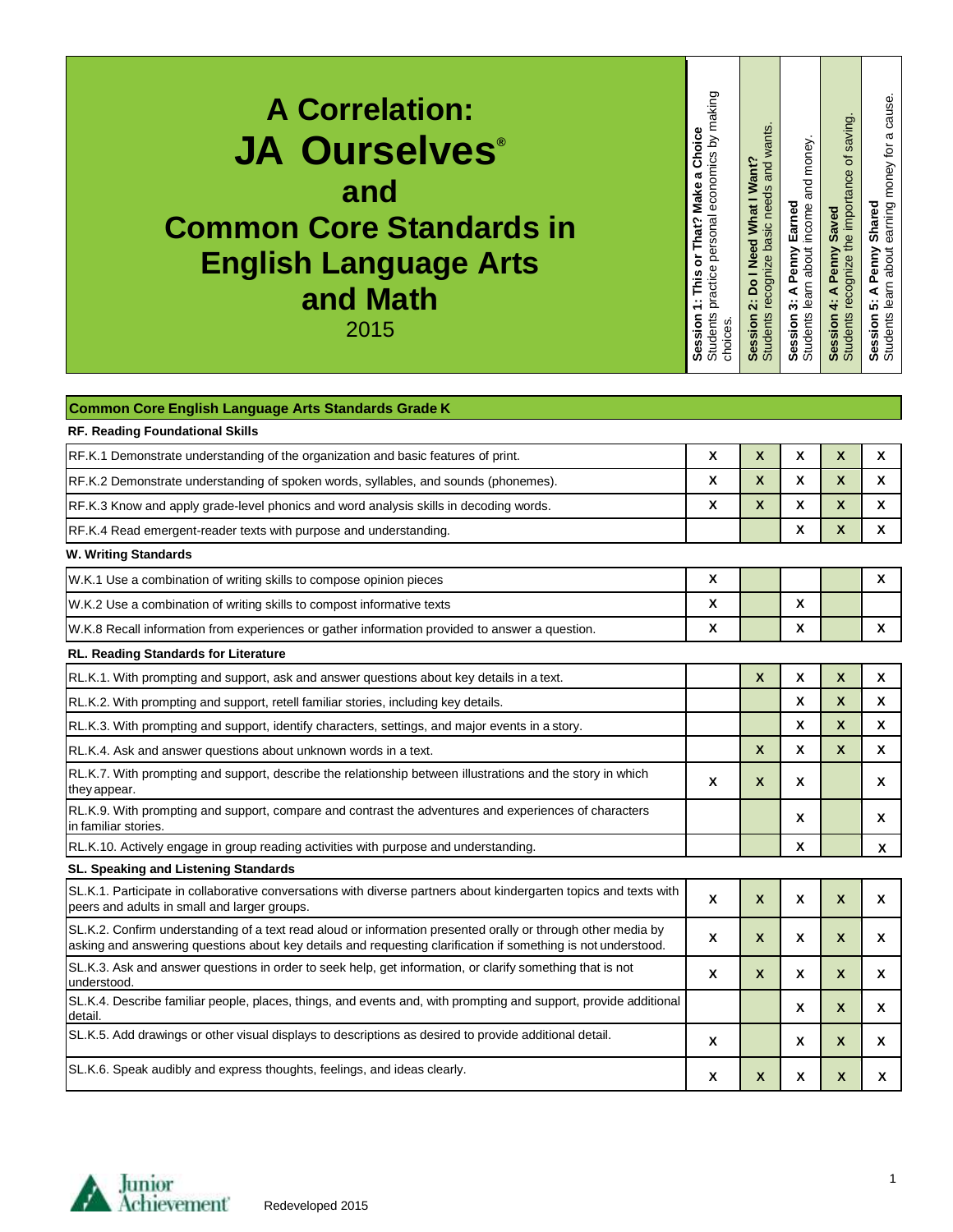| <b>A Correlation:</b><br><b>JA Ourselves</b> ®<br>and<br><b>Common Core Standards in</b><br><b>English Language Arts</b><br>and Math<br>2015                                                                                  | Students practice personal economics by making<br>1: This or That? Make a Choice<br>Session<br>choices. | Students recognize basic needs and wants<br>Session 2: Do I Need What I Want? | Session 3: A Penny Earned<br>Students learn about income and money. | Session 4: A Penny Saved<br>Students recognize the importance of saving. | earning money for a cause.<br>Shared<br>Session 5: A Penny<br>Students learn about |
|-------------------------------------------------------------------------------------------------------------------------------------------------------------------------------------------------------------------------------|---------------------------------------------------------------------------------------------------------|-------------------------------------------------------------------------------|---------------------------------------------------------------------|--------------------------------------------------------------------------|------------------------------------------------------------------------------------|
|                                                                                                                                                                                                                               |                                                                                                         |                                                                               |                                                                     |                                                                          |                                                                                    |
| Common Core English Language Arts Standards Grade K<br>RF. Reading Foundational Skills                                                                                                                                        |                                                                                                         |                                                                               |                                                                     |                                                                          |                                                                                    |
| RF.K.1 Demonstrate understanding of the organization and basic features of print.                                                                                                                                             | X                                                                                                       | $\boldsymbol{\mathsf{x}}$                                                     | X                                                                   | X                                                                        | X                                                                                  |
| RF.K.2 Demonstrate understanding of spoken words, syllables, and sounds (phonemes).                                                                                                                                           | X                                                                                                       | $\boldsymbol{\mathsf{x}}$                                                     | X                                                                   | X                                                                        | X                                                                                  |
| RF.K.3 Know and apply grade-level phonics and word analysis skills in decoding words.                                                                                                                                         | X                                                                                                       | $\boldsymbol{\mathsf{x}}$                                                     | X                                                                   | X                                                                        | X                                                                                  |
| RF.K.4 Read emergent-reader texts with purpose and understanding.                                                                                                                                                             |                                                                                                         |                                                                               | X                                                                   | X                                                                        | X                                                                                  |
| <b>W. Writing Standards</b>                                                                                                                                                                                                   |                                                                                                         |                                                                               |                                                                     |                                                                          |                                                                                    |
| W.K.1 Use a combination of writing skills to compose opinion pieces                                                                                                                                                           | X                                                                                                       |                                                                               |                                                                     |                                                                          | X                                                                                  |
| W.K.2 Use a combination of writing skills to compost informative texts                                                                                                                                                        | X                                                                                                       |                                                                               | X                                                                   |                                                                          |                                                                                    |
| W.K.8 Recall information from experiences or gather information provided to answer a question.                                                                                                                                | X                                                                                                       |                                                                               | X                                                                   |                                                                          | X                                                                                  |
| RL. Reading Standards for Literature                                                                                                                                                                                          |                                                                                                         |                                                                               |                                                                     |                                                                          |                                                                                    |
| RL.K.1. With prompting and support, ask and answer questions about key details in a text.                                                                                                                                     |                                                                                                         | $\boldsymbol{\mathsf{x}}$                                                     | X                                                                   | X                                                                        | X                                                                                  |
| RL.K.2. With prompting and support, retell familiar stories, including key details.                                                                                                                                           |                                                                                                         |                                                                               | X                                                                   | X                                                                        | X                                                                                  |
| RL.K.3. With prompting and support, identify characters, settings, and major events in a story.                                                                                                                               |                                                                                                         |                                                                               | X                                                                   | X                                                                        | X                                                                                  |
| RL.K.4. Ask and answer questions about unknown words in a text.                                                                                                                                                               |                                                                                                         | X                                                                             | х                                                                   | X                                                                        | X                                                                                  |
| RL.K.7. With prompting and support, describe the relationship between illustrations and the story in which<br>they appear.                                                                                                    | X                                                                                                       | X                                                                             | Χ                                                                   |                                                                          | x                                                                                  |
| RL.K.9. With prompting and support, compare and contrast the adventures and experiences of characters<br>in familiar stories.                                                                                                 |                                                                                                         |                                                                               | X                                                                   |                                                                          | X                                                                                  |
| RL.K.10. Actively engage in group reading activities with purpose and understanding.                                                                                                                                          |                                                                                                         |                                                                               | X                                                                   |                                                                          | X                                                                                  |
| SL. Speaking and Listening Standards<br>SL.K.1. Participate in collaborative conversations with diverse partners about kindergarten topics and texts with                                                                     |                                                                                                         |                                                                               |                                                                     |                                                                          |                                                                                    |
| peers and adults in small and larger groups.                                                                                                                                                                                  | X                                                                                                       | $\boldsymbol{\mathsf{x}}$                                                     | X                                                                   | X                                                                        | X                                                                                  |
| SL.K.2. Confirm understanding of a text read aloud or information presented orally or through other media by<br>asking and answering questions about key details and requesting clarification if something is not understood. | X                                                                                                       | $\boldsymbol{\mathsf{x}}$                                                     | Χ                                                                   | X                                                                        | X                                                                                  |
| SL.K.3. Ask and answer questions in order to seek help, get information, or clarify something that is not<br>understood.                                                                                                      | X                                                                                                       | $\boldsymbol{\mathsf{x}}$                                                     | X                                                                   | X                                                                        | X                                                                                  |
| SL.K.4. Describe familiar people, places, things, and events and, with prompting and support, provide additional<br>detail.                                                                                                   |                                                                                                         |                                                                               | Χ                                                                   | X                                                                        | X                                                                                  |
| SL.K.5. Add drawings or other visual displays to descriptions as desired to provide additional detail.                                                                                                                        | X                                                                                                       |                                                                               | X                                                                   | X                                                                        | X                                                                                  |
| SL.K.6. Speak audibly and express thoughts, feelings, and ideas clearly.                                                                                                                                                      | X                                                                                                       | $\boldsymbol{X}$                                                              | X                                                                   | X                                                                        | X                                                                                  |